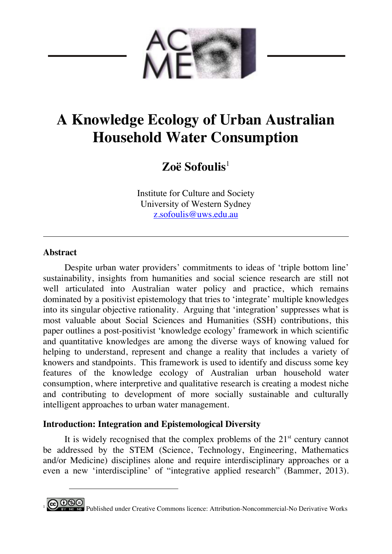

# **A Knowledge Ecology of Urban Australian Household Water Consumption**

## **Zoë Sofoulis**<sup>1</sup>

Institute for Culture and Society University of Western Sydney z.sofoulis@uws.edu.au

#### **Abstract**

 $\overline{a}$ 

Despite urban water providers' commitments to ideas of 'triple bottom line' sustainability, insights from humanities and social science research are still not well articulated into Australian water policy and practice, which remains dominated by a positivist epistemology that tries to 'integrate' multiple knowledges into its singular objective rationality. Arguing that 'integration' suppresses what is most valuable about Social Sciences and Humanities (SSH) contributions, this paper outlines a post-positivist 'knowledge ecology' framework in which scientific and quantitative knowledges are among the diverse ways of knowing valued for helping to understand, represent and change a reality that includes a variety of knowers and standpoints. This framework is used to identify and discuss some key features of the knowledge ecology of Australian urban household water consumption, where interpretive and qualitative research is creating a modest niche and contributing to development of more socially sustainable and culturally intelligent approaches to urban water management.

### **Introduction: Integration and Epistemological Diversity**

It is widely recognised that the complex problems of the  $21<sup>st</sup>$  century cannot be addressed by the STEM (Science, Technology, Engineering, Mathematics and/or Medicine) disciplines alone and require interdisciplinary approaches or a even a new 'interdiscipline' of "integrative applied research" (Bammer, 2013).

**<sup>0</sup> SO**<br><sup>187</sup> <sup>No</sup> No Derivative Works Commons licence: Attribution-Noncommercial-No Derivative Works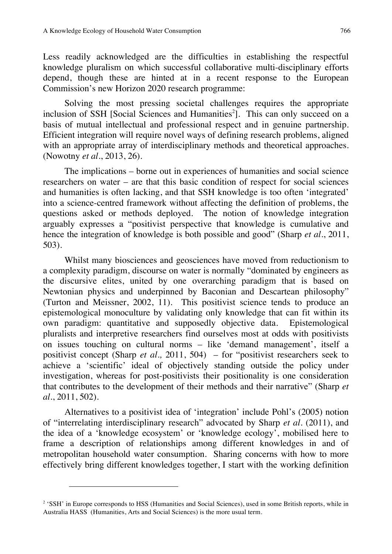Less readily acknowledged are the difficulties in establishing the respectful knowledge pluralism on which successful collaborative multi-disciplinary efforts depend, though these are hinted at in a recent response to the European Commission's new Horizon 2020 research programme:

Solving the most pressing societal challenges requires the appropriate inclusion of SSH [Social Sciences and Humanities<sup>2</sup>]. This can only succeed on a basis of mutual intellectual and professional respect and in genuine partnership. Efficient integration will require novel ways of defining research problems, aligned with an appropriate array of interdisciplinary methods and theoretical approaches. (Nowotny *et al.*, 2013, 26).

The implications – borne out in experiences of humanities and social science researchers on water – are that this basic condition of respect for social sciences and humanities is often lacking, and that SSH knowledge is too often 'integrated' into a science-centred framework without affecting the definition of problems, the questions asked or methods deployed. The notion of knowledge integration arguably expresses a "positivist perspective that knowledge is cumulative and hence the integration of knowledge is both possible and good" (Sharp *et al.*, 2011, 503).

Whilst many biosciences and geosciences have moved from reductionism to a complexity paradigm, discourse on water is normally "dominated by engineers as the discursive elites, united by one overarching paradigm that is based on Newtonian physics and underpinned by Baconian and Descartean philosophy" (Turton and Meissner, 2002, 11). This positivist science tends to produce an epistemological monoculture by validating only knowledge that can fit within its own paradigm: quantitative and supposedly objective data. Epistemological pluralists and interpretive researchers find ourselves most at odds with positivists on issues touching on cultural norms – like 'demand management', itself a positivist concept (Sharp *et al.,* 2011, 504) – for "positivist researchers seek to achieve a 'scientific' ideal of objectively standing outside the policy under investigation, whereas for post-positivists their positionality is one consideration that contributes to the development of their methods and their narrative" (Sharp *et al.*, 2011, 502).

Alternatives to a positivist idea of 'integration' include Pohl's (2005) notion of "interrelating interdisciplinary research" advocated by Sharp *et al.* (2011), and the idea of a 'knowledge ecosystem' or 'knowledge ecology', mobilised here to frame a description of relationships among different knowledges in and of metropolitan household water consumption. Sharing concerns with how to more effectively bring different knowledges together, I start with the working definition

 $\overline{a}$ 

<sup>&</sup>lt;sup>2</sup> 'SSH' in Europe corresponds to HSS (Humanities and Social Sciences), used in some British reports, while in Australia HASS (Humanities, Arts and Social Sciences) is the more usual term.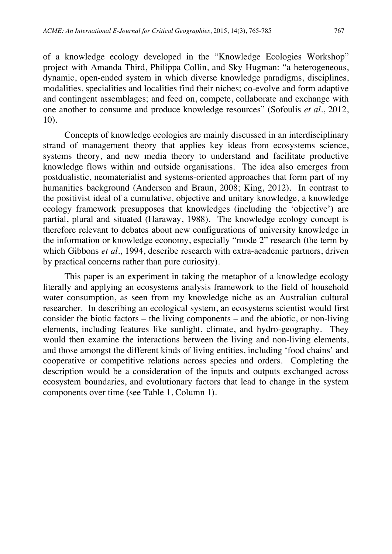of a knowledge ecology developed in the "Knowledge Ecologies Workshop" project with Amanda Third, Philippa Collin, and Sky Hugman: "a heterogeneous, dynamic, open-ended system in which diverse knowledge paradigms, disciplines, modalities, specialities and localities find their niches; co-evolve and form adaptive and contingent assemblages; and feed on, compete, collaborate and exchange with one another to consume and produce knowledge resources" (Sofoulis *et al.*, 2012, 10).

Concepts of knowledge ecologies are mainly discussed in an interdisciplinary strand of management theory that applies key ideas from ecosystems science, systems theory, and new media theory to understand and facilitate productive knowledge flows within and outside organisations. The idea also emerges from postdualistic, neomaterialist and systems-oriented approaches that form part of my humanities background (Anderson and Braun, 2008; King, 2012). In contrast to the positivist ideal of a cumulative, objective and unitary knowledge, a knowledge ecology framework presupposes that knowledges (including the 'objective') are partial, plural and situated (Haraway, 1988). The knowledge ecology concept is therefore relevant to debates about new configurations of university knowledge in the information or knowledge economy, especially "mode 2" research (the term by which Gibbons *et al.*, 1994, describe research with extra-academic partners, driven by practical concerns rather than pure curiosity).

This paper is an experiment in taking the metaphor of a knowledge ecology literally and applying an ecosystems analysis framework to the field of household water consumption, as seen from my knowledge niche as an Australian cultural researcher. In describing an ecological system, an ecosystems scientist would first consider the biotic factors – the living components – and the abiotic, or non-living elements, including features like sunlight, climate, and hydro-geography. They would then examine the interactions between the living and non-living elements, and those amongst the different kinds of living entities, including 'food chains' and cooperative or competitive relations across species and orders. Completing the description would be a consideration of the inputs and outputs exchanged across ecosystem boundaries, and evolutionary factors that lead to change in the system components over time (see Table 1, Column 1).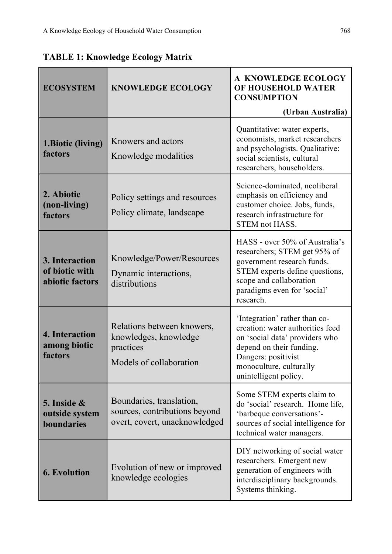| <b>ECOSYSTEM</b>                                    | <b>KNOWLEDGE ECOLOGY</b>                                                                    | A KNOWLEDGE ECOLOGY<br>OF HOUSEHOLD WATER<br><b>CONSUMPTION</b>                                                                                                                                            |
|-----------------------------------------------------|---------------------------------------------------------------------------------------------|------------------------------------------------------------------------------------------------------------------------------------------------------------------------------------------------------------|
|                                                     |                                                                                             | (Urban Australia)                                                                                                                                                                                          |
| 1. Biotic (living)<br>factors                       | Knowers and actors<br>Knowledge modalities                                                  | Quantitative: water experts,<br>economists, market researchers<br>and psychologists. Qualitative:<br>social scientists, cultural<br>researchers, householders.                                             |
| 2. Abiotic<br>(non-living)<br>factors               | Policy settings and resources<br>Policy climate, landscape                                  | Science-dominated, neoliberal<br>emphasis on efficiency and<br>customer choice. Jobs, funds,<br>research infrastructure for<br><b>STEM not HASS.</b>                                                       |
| 3. Interaction<br>of biotic with<br>abiotic factors | Knowledge/Power/Resources<br>Dynamic interactions,<br>distributions                         | HASS - over 50% of Australia's<br>researchers; STEM get 95% of<br>government research funds.<br>STEM experts define questions,<br>scope and collaboration<br>paradigms even for 'social'<br>research.      |
| 4. Interaction<br>among biotic<br>factors           | Relations between knowers,<br>knowledges, knowledge<br>practices<br>Models of collaboration | 'Integration' rather than co-<br>creation: water authorities feed<br>on 'social data' providers who<br>depend on their funding.<br>Dangers: positivist<br>monoculture, culturally<br>unintelligent policy. |
| 5. Inside $\&$<br>outside system<br>boundaries      | Boundaries, translation,<br>sources, contributions beyond<br>overt, covert, unacknowledged  | Some STEM experts claim to<br>do 'social' research. Home life,<br>'barbeque conversations'-<br>sources of social intelligence for<br>technical water managers.                                             |
| <b>6. Evolution</b>                                 | Evolution of new or improved<br>knowledge ecologies                                         | DIY networking of social water<br>researchers. Emergent new<br>generation of engineers with<br>interdisciplinary backgrounds.<br>Systems thinking.                                                         |

**TABLE 1: Knowledge Ecology Matrix**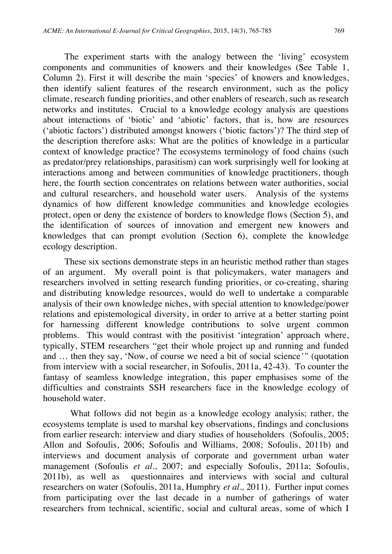The experiment starts with the analogy between the 'living' ecosystem components and communities of knowers and their knowledges (See Table 1, Column 2). First it will describe the main 'species' of knowers and knowledges, then identify salient features of the research environment, such as the policy climate, research funding priorities, and other enablers of research, such as research networks and institutes. Crucial to a knowledge ecology analysis are questions about interactions of 'biotic' and 'abiotic' factors, that is, how are resources ('abiotic factors') distributed amongst knowers ('biotic factors')? The third step of the description therefore asks: What are the politics of knowledge in a particular context of knowledge practice? The ecosystems terminology of food chains (such as predator/prey relationships, parasitism) can work surprisingly well for looking at interactions among and between communities of knowledge practitioners, though here, the fourth section concentrates on relations between water authorities, social and cultural researchers, and household water users. Analysis of the systems dynamics of how different knowledge communities and knowledge ecologies protect, open or deny the existence of borders to knowledge flows (Section 5), and the identification of sources of innovation and emergent new knowers and knowledges that can prompt evolution (Section 6), complete the knowledge ecology description.

These six sections demonstrate steps in an heuristic method rather than stages of an argument. My overall point is that policymakers, water managers and researchers involved in setting research funding priorities, or co-creating, sharing and distributing knowledge resources, would do well to undertake a comparable analysis of their own knowledge niches, with special attention to knowledge/power relations and epistemological diversity, in order to arrive at a better starting point for harnessing different knowledge contributions to solve urgent common problems. This would contrast with the positivist 'integration' approach where, typically, STEM researchers "get their whole project up and running and funded and … then they say, 'Now, of course we need a bit of social science*'"* (quotation from interview with a social researcher, in Sofoulis, 2011a, 42-43). To counter the fantasy of seamless knowledge integration, this paper emphasises some of the difficulties and constraints SSH researchers face in the knowledge ecology of household water.

What follows did not begin as a knowledge ecology analysis; rather, the ecosystems template is used to marshal key observations, findings and conclusions from earlier research: interview and diary studies of householders (Sofoulis, 2005; Allon and Sofoulis, 2006; Sofoulis and Williams, 2008; Sofoulis, 2011b) and interviews and document analysis of corporate and government urban water management (Sofoulis *et al*., 2007; and especially Sofoulis, 2011a; Sofoulis, 2011b), as well as questionnaires and interviews with social and cultural researchers on water (Sofoulis, 2011a, Humphry *et al.,* 2011). Further input comes from participating over the last decade in a number of gatherings of water researchers from technical, scientific, social and cultural areas, some of which I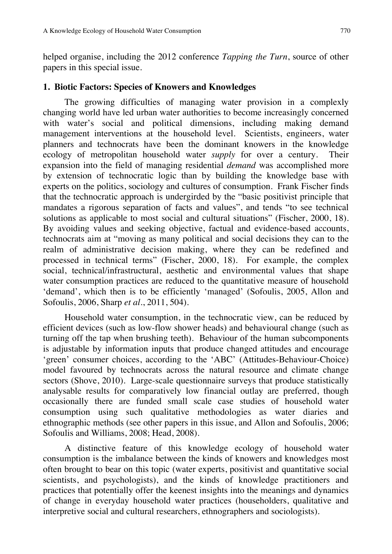helped organise, including the 2012 conference *Tapping the Turn*, source of other papers in this special issue.

#### **1. Biotic Factors: Species of Knowers and Knowledges**

The growing difficulties of managing water provision in a complexly changing world have led urban water authorities to become increasingly concerned with water's social and political dimensions, including making demand management interventions at the household level. Scientists, engineers, water planners and technocrats have been the dominant knowers in the knowledge ecology of metropolitan household water *supply* for over a century. Their expansion into the field of managing residential *demand* was accomplished more by extension of technocratic logic than by building the knowledge base with experts on the politics, sociology and cultures of consumption. Frank Fischer finds that the technocratic approach is undergirded by the "basic positivist principle that mandates a rigorous separation of facts and values", and tends "to see technical solutions as applicable to most social and cultural situations" (Fischer, 2000, 18). By avoiding values and seeking objective, factual and evidence-based accounts, technocrats aim at "moving as many political and social decisions they can to the realm of administrative decision making, where they can be redefined and processed in technical terms" (Fischer, 2000, 18). For example, the complex social, technical/infrastructural, aesthetic and environmental values that shape water consumption practices are reduced to the quantitative measure of household 'demand', which then is to be efficiently 'managed' (Sofoulis, 2005, Allon and Sofoulis, 2006, Sharp *et al.*, 2011, 504).

Household water consumption, in the technocratic view, can be reduced by efficient devices (such as low-flow shower heads) and behavioural change (such as turning off the tap when brushing teeth). Behaviour of the human subcomponents is adjustable by information inputs that produce changed attitudes and encourage 'green' consumer choices, according to the 'ABC' (Attitudes-Behaviour-Choice) model favoured by technocrats across the natural resource and climate change sectors (Shove, 2010). Large-scale questionnaire surveys that produce statistically analysable results for comparatively low financial outlay are preferred, though occasionally there are funded small scale case studies of household water consumption using such qualitative methodologies as water diaries and ethnographic methods (see other papers in this issue, and Allon and Sofoulis, 2006; Sofoulis and Williams, 2008; Head, 2008).

A distinctive feature of this knowledge ecology of household water consumption is the imbalance between the kinds of knowers and knowledges most often brought to bear on this topic (water experts, positivist and quantitative social scientists, and psychologists), and the kinds of knowledge practitioners and practices that potentially offer the keenest insights into the meanings and dynamics of change in everyday household water practices (householders, qualitative and interpretive social and cultural researchers, ethnographers and sociologists).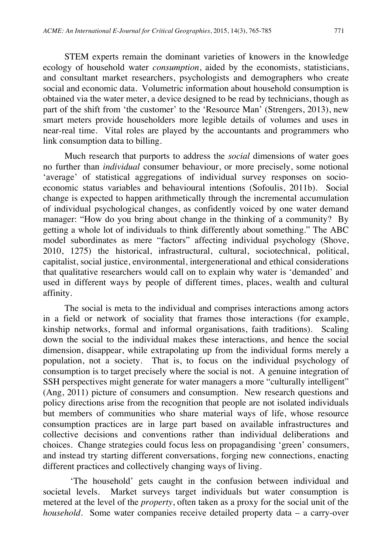STEM experts remain the dominant varieties of knowers in the knowledge ecology of household water *consumption*, aided by the economists, statisticians, and consultant market researchers, psychologists and demographers who create social and economic data. Volumetric information about household consumption is obtained via the water meter, a device designed to be read by technicians, though as part of the shift from 'the customer' to the 'Resource Man' (Strengers, 2013), new smart meters provide householders more legible details of volumes and uses in near-real time. Vital roles are played by the accountants and programmers who link consumption data to billing.

Much research that purports to address the *social* dimensions of water goes no further than *individual* consumer behaviour, or more precisely, some notional 'average' of statistical aggregations of individual survey responses on socioeconomic status variables and behavioural intentions (Sofoulis, 2011b). Social change is expected to happen arithmetically through the incremental accumulation of individual psychological changes, as confidently voiced by one water demand manager: "How do you bring about change in the thinking of a community? By getting a whole lot of individuals to think differently about something." The ABC model subordinates as mere "factors" affecting individual psychology (Shove, 2010, 1275) the historical, infrastructural, cultural, sociotechnical, political, capitalist, social justice, environmental, intergenerational and ethical considerations that qualitative researchers would call on to explain why water is 'demanded' and used in different ways by people of different times, places, wealth and cultural affinity.

The social is meta to the individual and comprises interactions among actors in a field or network of sociality that frames those interactions (for example, kinship networks, formal and informal organisations, faith traditions). Scaling down the social to the individual makes these interactions, and hence the social dimension, disappear, while extrapolating up from the individual forms merely a population, not a society. That is, to focus on the individual psychology of consumption is to target precisely where the social is not. A genuine integration of SSH perspectives might generate for water managers a more "culturally intelligent" (Ang, 2011) picture of consumers and consumption. New research questions and policy directions arise from the recognition that people are not isolated individuals but members of communities who share material ways of life, whose resource consumption practices are in large part based on available infrastructures and collective decisions and conventions rather than individual deliberations and choices. Change strategies could focus less on propagandising 'green' consumers, and instead try starting different conversations, forging new connections, enacting different practices and collectively changing ways of living.

'The household' gets caught in the confusion between individual and societal levels. Market surveys target individuals but water consumption is metered at the level of the *property*, often taken as a proxy for the social unit of the *household*. Some water companies receive detailed property data – a carry-over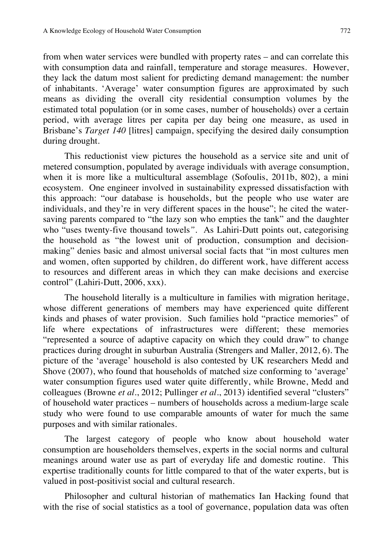from when water services were bundled with property rates – and can correlate this with consumption data and rainfall, temperature and storage measures. However, they lack the datum most salient for predicting demand management: the number of inhabitants. 'Average' water consumption figures are approximated by such means as dividing the overall city residential consumption volumes by the estimated total population (or in some cases, number of households) over a certain period, with average litres per capita per day being one measure, as used in Brisbane's *Target 140* [litres] campaign, specifying the desired daily consumption during drought.

This reductionist view pictures the household as a service site and unit of metered consumption, populated by average individuals with average consumption, when it is more like a multicultural assemblage (Sofoulis, 2011b, 802), a mini ecosystem. One engineer involved in sustainability expressed dissatisfaction with this approach: "our database is households, but the people who use water are individuals, and they're in very different spaces in the house"; he cited the watersaving parents compared to "the lazy son who empties the tank" and the daughter who "uses twenty-five thousand towels*"*. As Lahiri-Dutt points out, categorising the household as "the lowest unit of production, consumption and decisionmaking" denies basic and almost universal social facts that "in most cultures men and women, often supported by children, do different work, have different access to resources and different areas in which they can make decisions and exercise control" (Lahiri-Dutt, 2006, xxx).

The household literally is a multiculture in families with migration heritage, whose different generations of members may have experienced quite different kinds and phases of water provision. Such families hold "practice memories" of life where expectations of infrastructures were different; these memories "represented a source of adaptive capacity on which they could draw" to change practices during drought in suburban Australia (Strengers and Maller, 2012, 6). The picture of the 'average' household is also contested by UK researchers Medd and Shove (2007), who found that households of matched size conforming to 'average' water consumption figures used water quite differently, while Browne, Medd and colleagues (Browne *et al*., 2012; Pullinger *et al*., 2013) identified several "clusters" of household water practices – numbers of households across a medium-large scale study who were found to use comparable amounts of water for much the same purposes and with similar rationales.

The largest category of people who know about household water consumption are householders themselves, experts in the social norms and cultural meanings around water use as part of everyday life and domestic routine. This expertise traditionally counts for little compared to that of the water experts, but is valued in post-positivist social and cultural research.

Philosopher and cultural historian of mathematics Ian Hacking found that with the rise of social statistics as a tool of governance, population data was often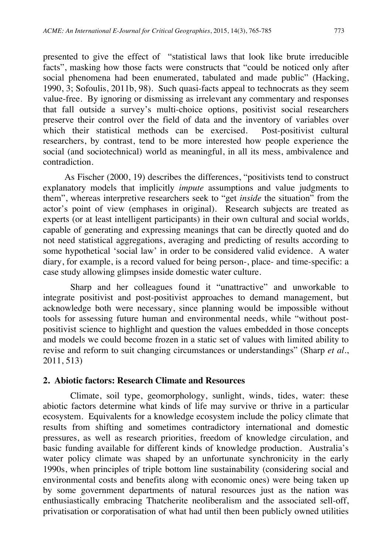presented to give the effect of "statistical laws that look like brute irreducible facts", masking how those facts were constructs that "could be noticed only after social phenomena had been enumerated, tabulated and made public" (Hacking, 1990, 3; Sofoulis, 2011b, 98). Such quasi-facts appeal to technocrats as they seem value-free. By ignoring or dismissing as irrelevant any commentary and responses that fall outside a survey's multi-choice options, positivist social researchers preserve their control over the field of data and the inventory of variables over which their statistical methods can be exercised. Post-positivist cultural researchers, by contrast, tend to be more interested how people experience the social (and sociotechnical) world as meaningful, in all its mess, ambivalence and contradiction.

As Fischer (2000, 19) describes the differences, "positivists tend to construct explanatory models that implicitly *impute* assumptions and value judgments to them", whereas interpretive researchers seek to "get *inside* the situation" from the actor's point of view (emphases in original). Research subjects are treated as experts (or at least intelligent participants) in their own cultural and social worlds, capable of generating and expressing meanings that can be directly quoted and do not need statistical aggregations, averaging and predicting of results according to some hypothetical 'social law' in order to be considered valid evidence. A water diary, for example, is a record valued for being person-, place- and time-specific: a case study allowing glimpses inside domestic water culture.

Sharp and her colleagues found it "unattractive" and unworkable to integrate positivist and post-positivist approaches to demand management, but acknowledge both were necessary, since planning would be impossible without tools for assessing future human and environmental needs, while "without postpositivist science to highlight and question the values embedded in those concepts and models we could become frozen in a static set of values with limited ability to revise and reform to suit changing circumstances or understandings" (Sharp *et al.*, 2011, 513)

#### **2. Abiotic factors: Research Climate and Resources**

Climate, soil type, geomorphology, sunlight, winds, tides, water: these abiotic factors determine what kinds of life may survive or thrive in a particular ecosystem. Equivalents for a knowledge ecosystem include the policy climate that results from shifting and sometimes contradictory international and domestic pressures, as well as research priorities, freedom of knowledge circulation, and basic funding available for different kinds of knowledge production. Australia's water policy climate was shaped by an unfortunate synchronicity in the early 1990s, when principles of triple bottom line sustainability (considering social and environmental costs and benefits along with economic ones) were being taken up by some government departments of natural resources just as the nation was enthusiastically embracing Thatcherite neoliberalism and the associated sell-off, privatisation or corporatisation of what had until then been publicly owned utilities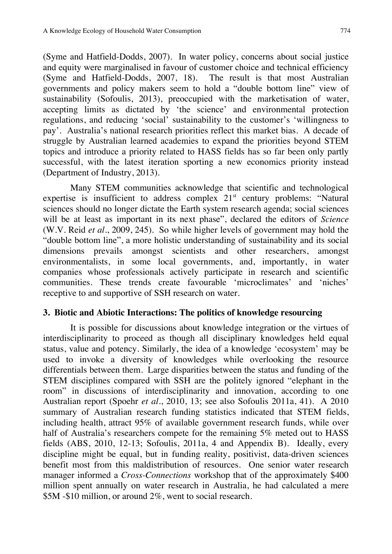(Syme and Hatfield-Dodds, 2007). In water policy, concerns about social justice and equity were marginalised in favour of customer choice and technical efficiency (Syme and Hatfield-Dodds, 2007, 18). The result is that most Australian governments and policy makers seem to hold a "double bottom line" view of sustainability (Sofoulis, 2013), preoccupied with the marketisation of water, accepting limits as dictated by 'the science' and environmental protection regulations, and reducing 'social' sustainability to the customer's 'willingness to pay'. Australia's national research priorities reflect this market bias. A decade of struggle by Australian learned academies to expand the priorities beyond STEM topics and introduce a priority related to HASS fields has so far been only partly successful, with the latest iteration sporting a new economics priority instead (Department of Industry, 2013).

Many STEM communities acknowledge that scientific and technological expertise is insufficient to address complex  $21<sup>st</sup>$  century problems: "Natural sciences should no longer dictate the Earth system research agenda; social sciences will be at least as important in its next phase", declared the editors of *Science* (W.V. Reid *et al.*, 2009, 245). So while higher levels of government may hold the "double bottom line", a more holistic understanding of sustainability and its social dimensions prevails amongst scientists and other researchers, amongst environmentalists, in some local governments, and, importantly, in water companies whose professionals actively participate in research and scientific communities. These trends create favourable 'microclimates' and 'niches' receptive to and supportive of SSH research on water.

#### **3. Biotic and Abiotic Interactions: The politics of knowledge resourcing**

It is possible for discussions about knowledge integration or the virtues of interdisciplinarity to proceed as though all disciplinary knowledges held equal status, value and potency. Similarly, the idea of a knowledge 'ecosystem' may be used to invoke a diversity of knowledges while overlooking the resource differentials between them. Large disparities between the status and funding of the STEM disciplines compared with SSH are the politely ignored "elephant in the room" in discussions of interdisciplinarity and innovation, according to one Australian report (Spoehr *et al.*, 2010, 13; see also Sofoulis 2011a, 41). A 2010 summary of Australian research funding statistics indicated that STEM fields, including health, attract 95% of available government research funds, while over half of Australia's researchers compete for the remaining 5% meted out to HASS fields (ABS, 2010, 12-13; Sofoulis, 2011a, 4 and Appendix B). Ideally, every discipline might be equal, but in funding reality, positivist, data-driven sciences benefit most from this maldistribution of resources. One senior water research manager informed a *Cross-Connections* workshop that of the approximately \$400 million spent annually on water research in Australia, he had calculated a mere \$5M -\$10 million, or around 2%, went to social research.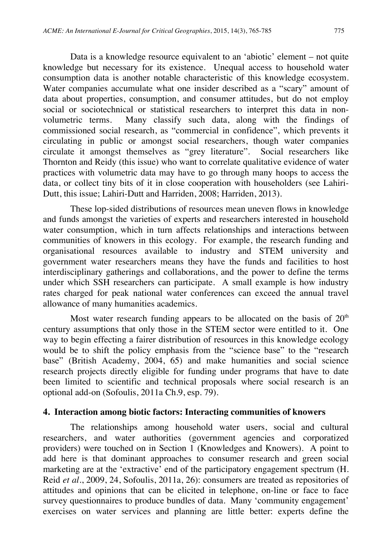Data is a knowledge resource equivalent to an 'abiotic' element – not quite knowledge but necessary for its existence. Unequal access to household water consumption data is another notable characteristic of this knowledge ecosystem. Water companies accumulate what one insider described as a "scary" amount of data about properties, consumption, and consumer attitudes, but do not employ social or sociotechnical or statistical researchers to interpret this data in nonvolumetric terms. Many classify such data, along with the findings of commissioned social research, as "commercial in confidence", which prevents it circulating in public or amongst social researchers, though water companies circulate it amongst themselves as "grey literature". Social researchers like Thornton and Reidy (this issue) who want to correlate qualitative evidence of water practices with volumetric data may have to go through many hoops to access the data, or collect tiny bits of it in close cooperation with householders (see Lahiri-Dutt, this issue; Lahiri-Dutt and Harriden, 2008; Harriden, 2013).

These lop-sided distributions of resources mean uneven flows in knowledge and funds amongst the varieties of experts and researchers interested in household water consumption, which in turn affects relationships and interactions between communities of knowers in this ecology. For example, the research funding and organisational resources available to industry and STEM university and government water researchers means they have the funds and facilities to host interdisciplinary gatherings and collaborations, and the power to define the terms under which SSH researchers can participate. A small example is how industry rates charged for peak national water conferences can exceed the annual travel allowance of many humanities academics.

Most water research funding appears to be allocated on the basis of  $20<sup>th</sup>$ century assumptions that only those in the STEM sector were entitled to it. One way to begin effecting a fairer distribution of resources in this knowledge ecology would be to shift the policy emphasis from the "science base" to the "research base" (British Academy, 2004, 65) and make humanities and social science research projects directly eligible for funding under programs that have to date been limited to scientific and technical proposals where social research is an optional add-on (Sofoulis, 2011a Ch.9, esp. 79).

#### **4. Interaction among biotic factors: Interacting communities of knowers**

The relationships among household water users, social and cultural researchers, and water authorities (government agencies and corporatized providers) were touched on in Section 1 (Knowledges and Knowers). A point to add here is that dominant approaches to consumer research and green social marketing are at the 'extractive' end of the participatory engagement spectrum (H. Reid *et al.*, 2009, 24, Sofoulis, 2011a, 26): consumers are treated as repositories of attitudes and opinions that can be elicited in telephone, on-line or face to face survey questionnaires to produce bundles of data. Many 'community engagement' exercises on water services and planning are little better: experts define the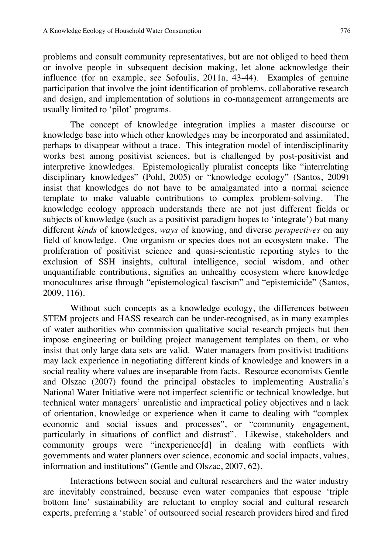problems and consult community representatives, but are not obliged to heed them or involve people in subsequent decision making, let alone acknowledge their influence (for an example, see Sofoulis, 2011a, 43-44). Examples of genuine participation that involve the joint identification of problems, collaborative research and design, and implementation of solutions in co-management arrangements are usually limited to 'pilot' programs.

The concept of knowledge integration implies a master discourse or knowledge base into which other knowledges may be incorporated and assimilated, perhaps to disappear without a trace. This integration model of interdisciplinarity works best among positivist sciences, but is challenged by post-positivist and interpretive knowledges. Epistemologically pluralist concepts like "interrelating disciplinary knowledges" (Pohl, 2005) or "knowledge ecology" (Santos, 2009) insist that knowledges do not have to be amalgamated into a normal science template to make valuable contributions to complex problem-solving. The knowledge ecology approach understands there are not just different fields or subjects of knowledge (such as a positivist paradigm hopes to 'integrate') but many different *kinds* of knowledges, *ways* of knowing, and diverse *perspectives* on any field of knowledge. One organism or species does not an ecosystem make. The proliferation of positivist science and quasi-scientistic reporting styles to the exclusion of SSH insights, cultural intelligence, social wisdom, and other unquantifiable contributions, signifies an unhealthy ecosystem where knowledge monocultures arise through "epistemological fascism" and "epistemicide" (Santos, 2009, 116).

Without such concepts as a knowledge ecology, the differences between STEM projects and HASS research can be under-recognised, as in many examples of water authorities who commission qualitative social research projects but then impose engineering or building project management templates on them, or who insist that only large data sets are valid. Water managers from positivist traditions may lack experience in negotiating different kinds of knowledge and knowers in a social reality where values are inseparable from facts. Resource economists Gentle and Olszac (2007) found the principal obstacles to implementing Australia's National Water Initiative were not imperfect scientific or technical knowledge, but technical water managers' unrealistic and impractical policy objectives and a lack of orientation, knowledge or experience when it came to dealing with "complex economic and social issues and processes", or "community engagement, particularly in situations of conflict and distrust". Likewise, stakeholders and community groups were "inexperience[d] in dealing with conflicts with governments and water planners over science, economic and social impacts, values, information and institutions" (Gentle and Olszac, 2007, 62).

Interactions between social and cultural researchers and the water industry are inevitably constrained, because even water companies that espouse 'triple bottom line' sustainability are reluctant to employ social and cultural research experts, preferring a 'stable' of outsourced social research providers hired and fired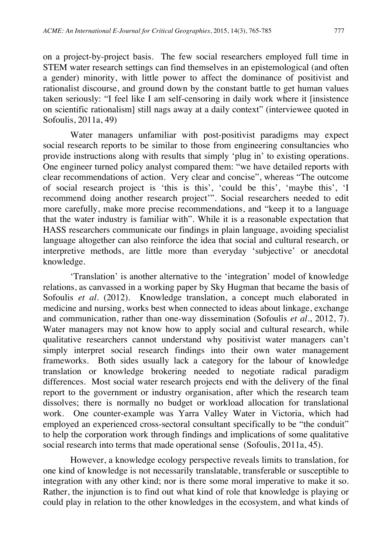on a project-by-project basis. The few social researchers employed full time in STEM water research settings can find themselves in an epistemological (and often a gender) minority, with little power to affect the dominance of positivist and rationalist discourse, and ground down by the constant battle to get human values taken seriously: "I feel like I am self-censoring in daily work where it [insistence on scientific rationalism] still nags away at a daily context" (interviewee quoted in Sofoulis, 2011a, 49)

Water managers unfamiliar with post-positivist paradigms may expect social research reports to be similar to those from engineering consultancies who provide instructions along with results that simply 'plug in' to existing operations. One engineer turned policy analyst compared them: "we have detailed reports with clear recommendations of action. Very clear and concise", whereas "The outcome of social research project is 'this is this', 'could be this', 'maybe this', 'I recommend doing another research project'". Social researchers needed to edit more carefully, make more precise recommendations, and "keep it to a language that the water industry is familiar with". While it is a reasonable expectation that HASS researchers communicate our findings in plain language, avoiding specialist language altogether can also reinforce the idea that social and cultural research, or interpretive methods, are little more than everyday 'subjective' or anecdotal knowledge.

'Translation' is another alternative to the 'integration' model of knowledge relations, as canvassed in a working paper by Sky Hugman that became the basis of Sofoulis *et al.* (2012). Knowledge translation, a concept much elaborated in medicine and nursing, works best when connected to ideas about linkage, exchange and communication, rather than one-way dissemination (Sofoulis *et al*., 2012, 7). Water managers may not know how to apply social and cultural research, while qualitative researchers cannot understand why positivist water managers can't simply interpret social research findings into their own water management frameworks. Both sides usually lack a category for the labour of knowledge translation or knowledge brokering needed to negotiate radical paradigm differences. Most social water research projects end with the delivery of the final report to the government or industry organisation, after which the research team dissolves; there is normally no budget or workload allocation for translational work. One counter-example was Yarra Valley Water in Victoria, which had employed an experienced cross-sectoral consultant specifically to be "the conduit" to help the corporation work through findings and implications of some qualitative social research into terms that made operational sense (Sofoulis, 2011a, 45).

However, a knowledge ecology perspective reveals limits to translation, for one kind of knowledge is not necessarily translatable, transferable or susceptible to integration with any other kind; nor is there some moral imperative to make it so. Rather, the injunction is to find out what kind of role that knowledge is playing or could play in relation to the other knowledges in the ecosystem, and what kinds of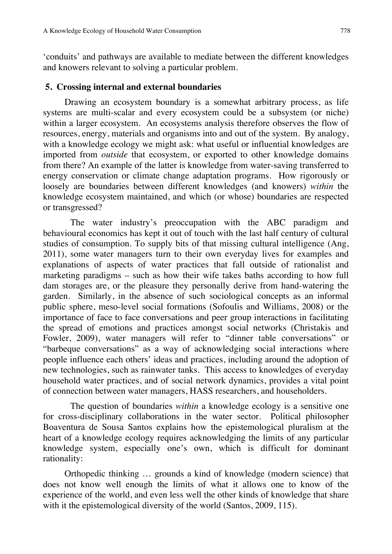'conduits' and pathways are available to mediate between the different knowledges and knowers relevant to solving a particular problem.

#### **5. Crossing internal and external boundaries**

Drawing an ecosystem boundary is a somewhat arbitrary process, as life systems are multi-scalar and every ecosystem could be a subsystem (or niche) within a larger ecosystem. An ecosystems analysis therefore observes the flow of resources, energy, materials and organisms into and out of the system. By analogy, with a knowledge ecology we might ask: what useful or influential knowledges are imported from *outside* that ecosystem, or exported to other knowledge domains from there? An example of the latter is knowledge from water-saving transferred to energy conservation or climate change adaptation programs. How rigorously or loosely are boundaries between different knowledges (and knowers) *within* the knowledge ecosystem maintained, and which (or whose) boundaries are respected or transgressed?

The water industry's preoccupation with the ABC paradigm and behavioural economics has kept it out of touch with the last half century of cultural studies of consumption. To supply bits of that missing cultural intelligence (Ang, 2011), some water managers turn to their own everyday lives for examples and explanations of aspects of water practices that fall outside of rationalist and marketing paradigms – such as how their wife takes baths according to how full dam storages are, or the pleasure they personally derive from hand-watering the garden. Similarly, in the absence of such sociological concepts as an informal public sphere, meso-level social formations (Sofoulis and Williams, 2008) or the importance of face to face conversations and peer group interactions in facilitating the spread of emotions and practices amongst social networks (Christakis and Fowler, 2009), water managers will refer to "dinner table conversations" or "barbeque conversations" as a way of acknowledging social interactions where people influence each others' ideas and practices, including around the adoption of new technologies, such as rainwater tanks. This access to knowledges of everyday household water practices, and of social network dynamics, provides a vital point of connection between water managers, HASS researchers, and householders.

The question of boundaries *within* a knowledge ecology is a sensitive one for cross-disciplinary collaborations in the water sector. Political philosopher Boaventura de Sousa Santos explains how the epistemological pluralism at the heart of a knowledge ecology requires acknowledging the limits of any particular knowledge system, especially one's own, which is difficult for dominant rationality:

Orthopedic thinking … grounds a kind of knowledge (modern science) that does not know well enough the limits of what it allows one to know of the experience of the world, and even less well the other kinds of knowledge that share with it the epistemological diversity of the world (Santos, 2009, 115).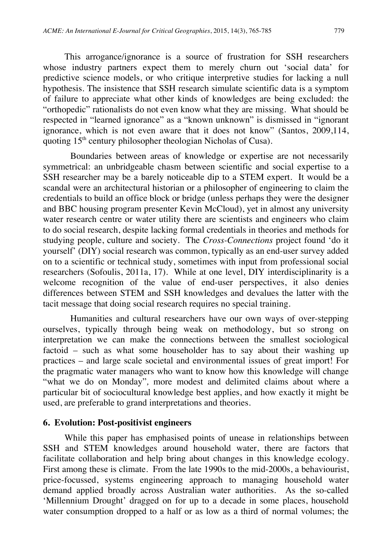This arrogance/ignorance is a source of frustration for SSH researchers whose industry partners expect them to merely churn out 'social data' for predictive science models, or who critique interpretive studies for lacking a null hypothesis. The insistence that SSH research simulate scientific data is a symptom of failure to appreciate what other kinds of knowledges are being excluded: the "orthopedic" rationalists do not even know what they are missing. What should be respected in "learned ignorance" as a "known unknown" is dismissed in "ignorant ignorance, which is not even aware that it does not know" (Santos, 2009,114, quoting 15<sup>th</sup> century philosopher theologian Nicholas of Cusa).

Boundaries between areas of knowledge or expertise are not necessarily symmetrical: an unbridgeable chasm between scientific and social expertise to a SSH researcher may be a barely noticeable dip to a STEM expert. It would be a scandal were an architectural historian or a philosopher of engineering to claim the credentials to build an office block or bridge (unless perhaps they were the designer and BBC housing program presenter Kevin McCloud), yet in almost any university water research centre or water utility there are scientists and engineers who claim to do social research, despite lacking formal credentials in theories and methods for studying people, culture and society. The *Cross-Connections* project found 'do it yourself' (DIY) social research was common, typically as an end-user survey added on to a scientific or technical study, sometimes with input from professional social researchers (Sofoulis, 2011a, 17). While at one level, DIY interdisciplinarity is a welcome recognition of the value of end-user perspectives, it also denies differences between STEM and SSH knowledges and devalues the latter with the tacit message that doing social research requires no special training.

Humanities and cultural researchers have our own ways of over-stepping ourselves, typically through being weak on methodology, but so strong on interpretation we can make the connections between the smallest sociological factoid – such as what some householder has to say about their washing up practices – and large scale societal and environmental issues of great import! For the pragmatic water managers who want to know how this knowledge will change "what we do on Monday"*,* more modest and delimited claims about where a particular bit of sociocultural knowledge best applies, and how exactly it might be used, are preferable to grand interpretations and theories.

#### **6. Evolution: Post-positivist engineers**

While this paper has emphasised points of unease in relationships between SSH and STEM knowledges around household water, there are factors that facilitate collaboration and help bring about changes in this knowledge ecology. First among these is climate. From the late 1990s to the mid-2000s, a behaviourist, price-focussed, systems engineering approach to managing household water demand applied broadly across Australian water authorities. As the so-called 'Millennium Drought' dragged on for up to a decade in some places, household water consumption dropped to a half or as low as a third of normal volumes; the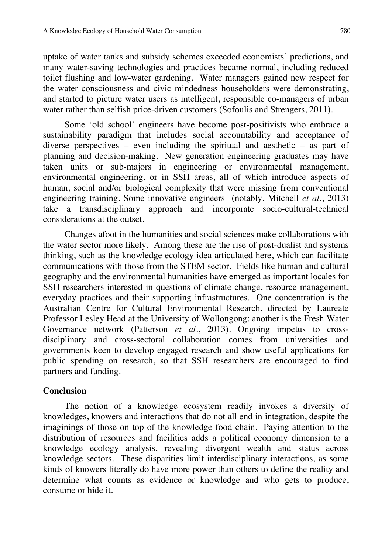uptake of water tanks and subsidy schemes exceeded economists' predictions, and many water-saving technologies and practices became normal, including reduced toilet flushing and low-water gardening. Water managers gained new respect for the water consciousness and civic mindedness householders were demonstrating, and started to picture water users as intelligent, responsible co-managers of urban water rather than selfish price-driven customers (Sofoulis and Strengers, 2011).

Some 'old school' engineers have become post-positivists who embrace a sustainability paradigm that includes social accountability and acceptance of diverse perspectives – even including the spiritual and aesthetic – as part of planning and decision-making. New generation engineering graduates may have taken units or sub-majors in engineering or environmental management, environmental engineering, or in SSH areas, all of which introduce aspects of human, social and/or biological complexity that were missing from conventional engineering training. Some innovative engineers (notably, Mitchell *et al.*, 2013) take a transdisciplinary approach and incorporate socio-cultural-technical considerations at the outset.

Changes afoot in the humanities and social sciences make collaborations with the water sector more likely. Among these are the rise of post-dualist and systems thinking, such as the knowledge ecology idea articulated here, which can facilitate communications with those from the STEM sector. Fields like human and cultural geography and the environmental humanities have emerged as important locales for SSH researchers interested in questions of climate change, resource management, everyday practices and their supporting infrastructures. One concentration is the Australian Centre for Cultural Environmental Research, directed by Laureate Professor Lesley Head at the University of Wollongong; another is the Fresh Water Governance network (Patterson *et al.*, 2013). Ongoing impetus to crossdisciplinary and cross-sectoral collaboration comes from universities and governments keen to develop engaged research and show useful applications for public spending on research, so that SSH researchers are encouraged to find partners and funding.

#### **Conclusion**

The notion of a knowledge ecosystem readily invokes a diversity of knowledges, knowers and interactions that do not all end in integration, despite the imaginings of those on top of the knowledge food chain. Paying attention to the distribution of resources and facilities adds a political economy dimension to a knowledge ecology analysis, revealing divergent wealth and status across knowledge sectors. These disparities limit interdisciplinary interactions, as some kinds of knowers literally do have more power than others to define the reality and determine what counts as evidence or knowledge and who gets to produce, consume or hide it.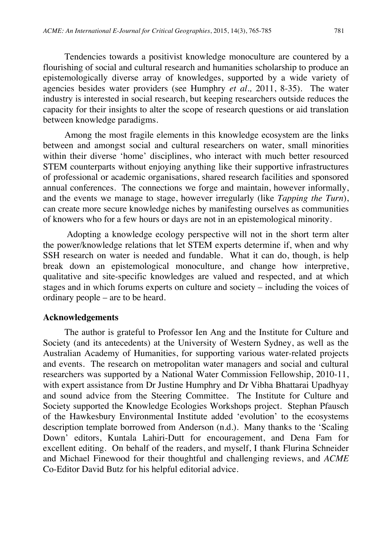Tendencies towards a positivist knowledge monoculture are countered by a flourishing of social and cultural research and humanities scholarship to produce an epistemologically diverse array of knowledges, supported by a wide variety of agencies besides water providers (see Humphry *et al.,* 2011, 8-35). The water industry is interested in social research, but keeping researchers outside reduces the capacity for their insights to alter the scope of research questions or aid translation between knowledge paradigms.

Among the most fragile elements in this knowledge ecosystem are the links between and amongst social and cultural researchers on water, small minorities within their diverse 'home' disciplines, who interact with much better resourced STEM counterparts without enjoying anything like their supportive infrastructures of professional or academic organisations, shared research facilities and sponsored annual conferences. The connections we forge and maintain, however informally, and the events we manage to stage, however irregularly (like *Tapping the Turn*), can create more secure knowledge niches by manifesting ourselves as communities of knowers who for a few hours or days are not in an epistemological minority.

Adopting a knowledge ecology perspective will not in the short term alter the power/knowledge relations that let STEM experts determine if, when and why SSH research on water is needed and fundable. What it can do, though, is help break down an epistemological monoculture, and change how interpretive, qualitative and site-specific knowledges are valued and respected, and at which stages and in which forums experts on culture and society – including the voices of ordinary people – are to be heard.

#### **Acknowledgements**

The author is grateful to Professor Ien Ang and the Institute for Culture and Society (and its antecedents) at the University of Western Sydney, as well as the Australian Academy of Humanities, for supporting various water-related projects and events. The research on metropolitan water managers and social and cultural researchers was supported by a National Water Commission Fellowship, 2010-11, with expert assistance from Dr Justine Humphry and Dr Vibha Bhattarai Upadhyay and sound advice from the Steering Committee. The Institute for Culture and Society supported the Knowledge Ecologies Workshops project. Stephan Pfausch of the Hawkesbury Environmental Institute added 'evolution' to the ecosystems description template borrowed from Anderson (n.d.). Many thanks to the 'Scaling Down' editors, Kuntala Lahiri-Dutt for encouragement, and Dena Fam for excellent editing. On behalf of the readers, and myself, I thank Flurina Schneider and Michael Finewood for their thoughtful and challenging reviews, and *ACME*  Co-Editor David Butz for his helpful editorial advice.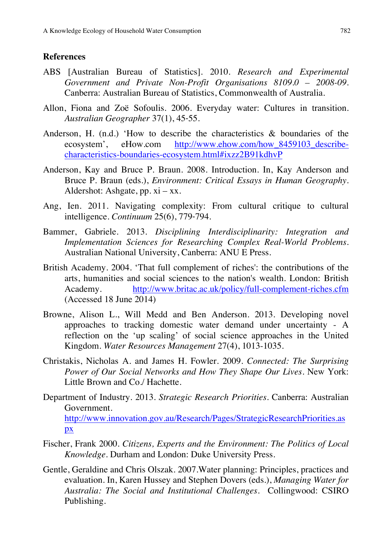#### **References**

- ABS [Australian Bureau of Statistics]. 2010. *Research and Experimental Government and Private Non-Profit Organisations 8109.0 – 2008-09*. Canberra: Australian Bureau of Statistics, Commonwealth of Australia.
- Allon, Fiona and Zoë Sofoulis. 2006. Everyday water: Cultures in transition. *Australian Geographer* 37(1), 45‐55.
- Anderson, H. (n.d.) 'How to describe the characteristics & boundaries of the ecosystem', eHow.com http://www.ehow.com/how\_8459103\_describecharacteristics-boundaries-ecosystem.html#ixzz2B91kdhvP
- Anderson, Kay and Bruce P. Braun. 2008. Introduction. In, Kay Anderson and Bruce P. Braun (eds.), *Environment: Critical Essays in Human Geography.* Aldershot: Ashgate, pp. xi – xx.
- Ang, Ien. 2011. Navigating complexity: From cultural critique to cultural intelligence. *Continuum* 25(6), 779‐794.
- Bammer, Gabriele. 2013. *Disciplining Interdisciplinarity: Integration and Implementation Sciences for Researching Complex Real-World Problems*. Australian National University, Canberra: ANU E Press.
- British Academy. 2004. 'That full complement of riches': the contributions of the arts, humanities and social sciences to the nation's wealth. London: British Academy. http://www.britac.ac.uk/policy/full-complement-riches.cfm (Accessed 18 June 2014)
- Browne, Alison L., Will Medd and Ben Anderson. 2013. Developing novel approaches to tracking domestic water demand under uncertainty - A reflection on the 'up scaling' of social science approaches in the United Kingdom. *Water Resources Management* 27(4), 1013-1035.
- Christakis, Nicholas A. and James H. Fowler. 2009. *Connected: The Surprising Power of Our Social Networks and How They Shape Our Lives*. New York: Little Brown and Co./ Hachette.
- Department of Industry. 2013. *Strategic Research Priorities.* Canberra: Australian Government. http://www.innovation.gov.au/Research/Pages/StrategicResearchPriorities.as px
- Fischer, Frank 2000. *Citizens, Experts and the Environment: The Politics of Local Knowledge.* Durham and London: Duke University Press.
- Gentle, Geraldine and Chris Olszak. 2007.Water planning: Principles, practices and evaluation. In, Karen Hussey and Stephen Dovers (eds.), *Managing Water for Australia: The Social and Institutional Challenges.* Collingwood: CSIRO Publishing.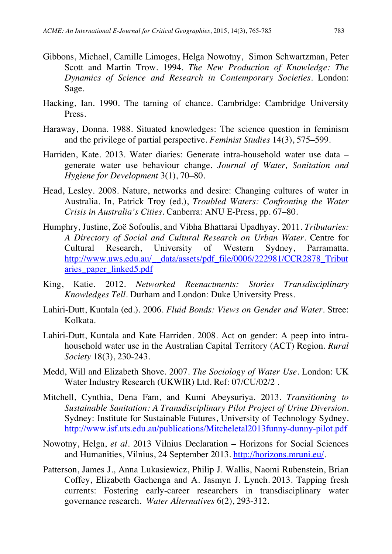- Gibbons, Michael, Camille Limoges, Helga Nowotny, Simon Schwartzman, Peter Scott and Martin Trow. 1994. *The New Production of Knowledge: The Dynamics of Science and Research in Contemporary Societies.* London: Sage.
- Hacking, Ian. 1990. The taming of chance. Cambridge: Cambridge University Press.
- Haraway, Donna. 1988. Situated knowledges: The science question in feminism and the privilege of partial perspective. *Feminist Studies* 14(3), 575–599.
- Harriden, Kate. 2013. Water diaries: Generate intra-household water use data generate water use behaviour change. *Journal of Water, Sanitation and Hygiene for Development* 3(1), 70–80.
- Head, Lesley. 2008. Nature, networks and desire: Changing cultures of water in Australia. In, Patrick Troy (ed.), *Troubled Waters: Confronting the Water Crisis in Australia's Cities.* Canberra: ANU E-Press, pp. 67–80.
- Humphry, Justine, Zoë Sofoulis, and Vibha Bhattarai Upadhyay. 2011. *Tributaries: A Directory of Social and Cultural Research on Urban Water*. Centre for Cultural Research, University of Western Sydney, Parramatta. http://www.uws.edu.au/\_\_data/assets/pdf\_file/0006/222981/CCR2878\_Tribut aries\_paper\_linked5.pdf
- King, Katie. 2012. *Networked Reenactments: Stories Transdisciplinary Knowledges Tell.* Durham and London: Duke University Press.
- Lahiri-Dutt, Kuntala (ed.). 2006. *Fluid Bonds: Views on Gender and Water.* Stree: Kolkata.
- Lahiri-Dutt, Kuntala and Kate Harriden. 2008. Act on gender: A peep into intrahousehold water use in the Australian Capital Territory (ACT) Region. *Rural Society* 18(3), 230-243.
- Medd, Will and Elizabeth Shove. 2007. *The Sociology of Water Use*. London: UK Water Industry Research (UKWIR) Ltd. Ref: 07/CU/02/2 .
- Mitchell, Cynthia, Dena Fam, and Kumi Abeysuriya. 2013*. Transitioning to Sustainable Sanitation: A Transdisciplinary Pilot Project of Urine Diversion.*  Sydney: Institute for Sustainable Futures, University of Technology Sydney. http://www.isf.uts.edu.au/publications/Mitcheletal2013funny-dunny-pilot.pdf
- Nowotny, Helga, *et al.* 2013 Vilnius Declaration Horizons for Social Sciences and Humanities, Vilnius, 24 September 2013. http://horizons.mruni.eu/.
- Patterson, James J., Anna Lukasiewicz, Philip J. Wallis, Naomi Rubenstein, Brian Coffey, Elizabeth Gachenga and A. Jasmyn J. Lynch. 2013. Tapping fresh currents: Fostering early-career researchers in transdisciplinary water governance research. *Water Alternatives* 6(2), 293-312.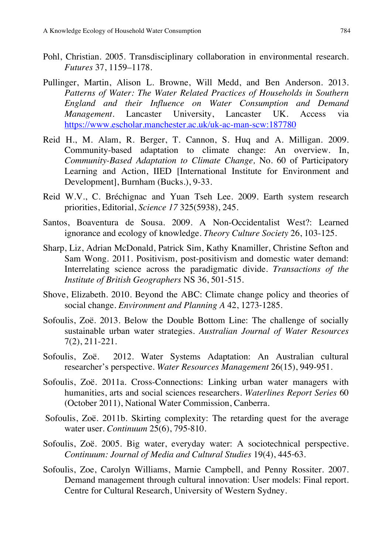- Pohl, Christian. 2005. Transdisciplinary collaboration in environmental research. *Futures* 37, 1159–1178.
- Pullinger, Martin, Alison L. Browne, Will Medd, and Ben Anderson. 2013. *Patterns of Water: The Water Related Practices of Households in Southern England and their Influence on Water Consumption and Demand Management.* Lancaster University, Lancaster UK. Access via https://www.escholar.manchester.ac.uk/uk-ac-man-scw:187780
- Reid H., M. Alam, R. Berger, T. Cannon, S. Huq and A. Milligan. 2009. Community-based adaptation to climate change: An overview. In, *Community-Based Adaptation to Climate Change,* No. 60 of Participatory Learning and Action, IIED [International Institute for Environment and Development], Burnham (Bucks.), 9-33.
- Reid W.V., C. Bréchignac and Yuan Tseh Lee. 2009. Earth system research priorities, Editorial, *Science 17* 325(5938), 245.
- Santos, Boaventura de Sousa. 2009. A Non-Occidentalist West?: Learned ignorance and ecology of knowledge. *Theory Culture Society* 26, 103-125.
- Sharp, Liz, Adrian McDonald, Patrick Sim, Kathy Knamiller, Christine Sefton and Sam Wong. 2011. Positivism, post-positivism and domestic water demand: Interrelating science across the paradigmatic divide*. Transactions of the Institute of British Geographers* NS 36, 501-515.
- Shove, Elizabeth. 2010. Beyond the ABC: Climate change policy and theories of social change. *Environment and Planning A* 42, 1273‐1285.
- Sofoulis, Zoë. 2013. Below the Double Bottom Line: The challenge of socially sustainable urban water strategies. *Australian Journal of Water Resources* 7(2), 211-221.
- Sofoulis, Zoë. 2012. Water Systems Adaptation: An Australian cultural researcher's perspective. *Water Resources Management* 26(15), 949-951.
- Sofoulis, Zoë. 2011a. Cross-Connections: Linking urban water managers with humanities, arts and social sciences researchers. *Waterlines Report Series* 60 (October 2011), National Water Commission, Canberra.
- Sofoulis, Zoë. 2011b. Skirting complexity: The retarding quest for the average water user. *Continuum* 25(6), 795‐810.
- Sofoulis, Zoë. 2005. Big water, everyday water: A sociotechnical perspective. *Continuum: Journal of Media and Cultural Studies* 19(4), 445‐63.
- Sofoulis, Zoe, Carolyn Williams, Marnie Campbell, and Penny Rossiter. 2007. Demand management through cultural innovation: User models: Final report. Centre for Cultural Research, University of Western Sydney.